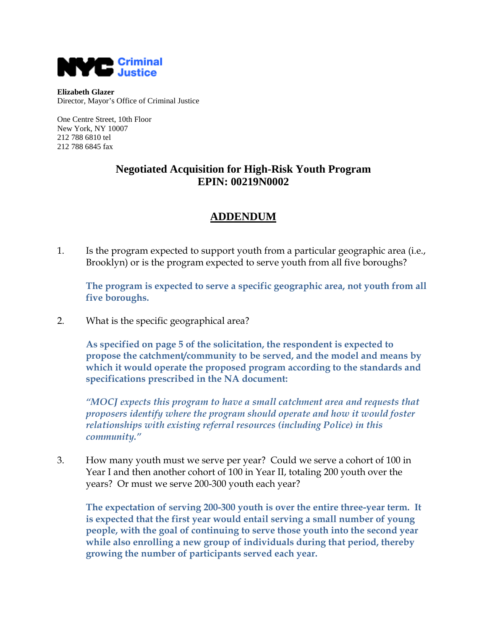

**Elizabeth Glazer** Director, Mayor's Office of Criminal Justice

One Centre Street, 10th Floor New York, NY 10007 212 788 6810 tel 212 788 6845 fax

## **Negotiated Acquisition for High-Risk Youth Program EPIN: 00219N0002**

## **ADDENDUM**

1. Is the program expected to support youth from a particular geographic area (i.e., Brooklyn) or is the program expected to serve youth from all five boroughs?

**The program is expected to serve a specific geographic area, not youth from all five boroughs.**

2. What is the specific geographical area?

**As specified on page 5 of the solicitation, the respondent is expected to propose the catchment/community to be served, and the model and means by which it would operate the proposed program according to the standards and specifications prescribed in the NA document:**

*"MOCJ expects this program to have a small catchment area and requests that proposers identify where the program should operate and how it would foster relationships with existing referral resources (including Police) in this community."*

3. How many youth must we serve per year? Could we serve a cohort of 100 in Year I and then another cohort of 100 in Year II, totaling 200 youth over the years? Or must we serve 200-300 youth each year?

**The expectation of serving 200-300 youth is over the entire three-year term. It is expected that the first year would entail serving a small number of young people, with the goal of continuing to serve those youth into the second year while also enrolling a new group of individuals during that period, thereby growing the number of participants served each year.**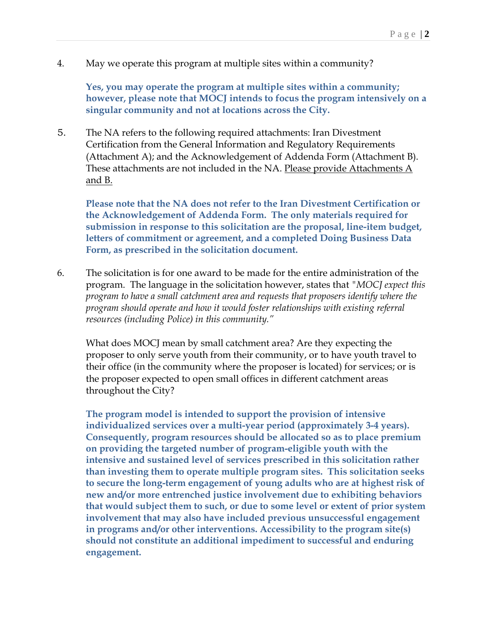4. May we operate this program at multiple sites within a community?

**Yes, you may operate the program at multiple sites within a community; however, please note that MOCJ intends to focus the program intensively on a singular community and not at locations across the City.**

5. The NA refers to the following required attachments: Iran Divestment Certification from the General Information and Regulatory Requirements (Attachment A); and the Acknowledgement of Addenda Form (Attachment B). These attachments are not included in the NA. Please provide Attachments A and B.

**Please note that the NA does not refer to the Iran Divestment Certification or the Acknowledgement of Addenda Form. The only materials required for submission in response to this solicitation are the proposal, line-item budget, letters of commitment or agreement, and a completed Doing Business Data Form, as prescribed in the solicitation document.**

6. The solicitation is for one award to be made for the entire administration of the program. The language in the solicitation however, states that *"MOCJ expect this program to have a small catchment area and requests that proposers identify where the program should operate and how it would foster relationships with existing referral resources (including Police) in this community."*

What does MOCJ mean by small catchment area? Are they expecting the proposer to only serve youth from their community, or to have youth travel to their office (in the community where the proposer is located) for services; or is the proposer expected to open small offices in different catchment areas throughout the City?

**The program model is intended to support the provision of intensive individualized services over a multi-year period (approximately 3-4 years). Consequently, program resources should be allocated so as to place premium on providing the targeted number of program-eligible youth with the intensive and sustained level of services prescribed in this solicitation rather than investing them to operate multiple program sites. This solicitation seeks to secure the long-term engagement of young adults who are at highest risk of new and/or more entrenched justice involvement due to exhibiting behaviors that would subject them to such, or due to some level or extent of prior system involvement that may also have included previous unsuccessful engagement in programs and/or other interventions. Accessibility to the program site(s) should not constitute an additional impediment to successful and enduring engagement.**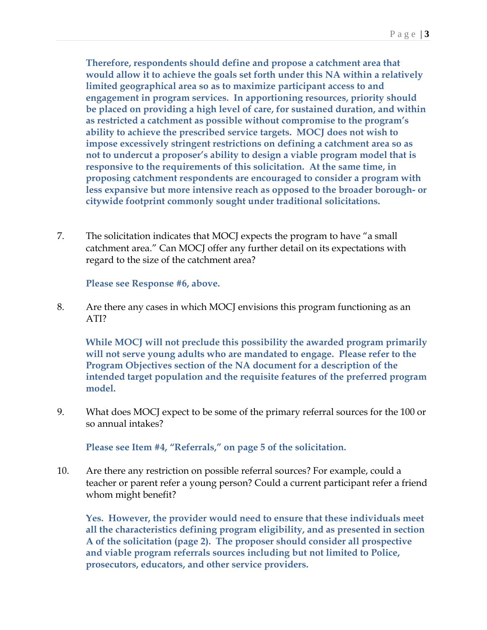**Therefore, respondents should define and propose a catchment area that would allow it to achieve the goals set forth under this NA within a relatively limited geographical area so as to maximize participant access to and engagement in program services. In apportioning resources, priority should be placed on providing a high level of care, for sustained duration, and within as restricted a catchment as possible without compromise to the program's ability to achieve the prescribed service targets. MOCJ does not wish to impose excessively stringent restrictions on defining a catchment area so as not to undercut a proposer's ability to design a viable program model that is responsive to the requirements of this solicitation. At the same time, in proposing catchment respondents are encouraged to consider a program with less expansive but more intensive reach as opposed to the broader borough- or citywide footprint commonly sought under traditional solicitations.**

7. The solicitation indicates that MOCJ expects the program to have "a small catchment area." Can MOCJ offer any further detail on its expectations with regard to the size of the catchment area?

**Please see Response #6, above.**

8. Are there any cases in which MOCJ envisions this program functioning as an ATI?

**While MOCJ will not preclude this possibility the awarded program primarily will not serve young adults who are mandated to engage. Please refer to the Program Objectives section of the NA document for a description of the intended target population and the requisite features of the preferred program model.**

9. What does MOCJ expect to be some of the primary referral sources for the 100 or so annual intakes?

**Please see Item #4, "Referrals," on page 5 of the solicitation.**

10. Are there any restriction on possible referral sources? For example, could a teacher or parent refer a young person? Could a current participant refer a friend whom might benefit?

**Yes. However, the provider would need to ensure that these individuals meet all the characteristics defining program eligibility, and as presented in section A of the solicitation (page 2). The proposer should consider all prospective and viable program referrals sources including but not limited to Police, prosecutors, educators, and other service providers.**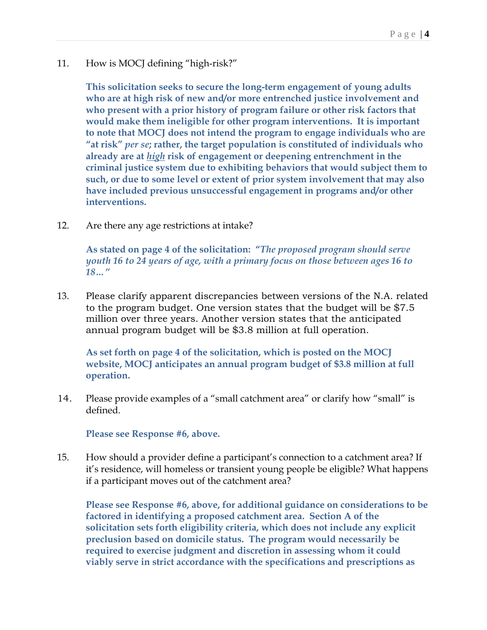11. How is MOCJ defining "high-risk?"

**This solicitation seeks to secure the long-term engagement of young adults who are at high risk of new and/or more entrenched justice involvement and who present with a prior history of program failure or other risk factors that would make them ineligible for other program interventions. It is important to note that MOCJ does not intend the program to engage individuals who are "at risk"** *per se***; rather, the target population is constituted of individuals who already are at** *high* **risk of engagement or deepening entrenchment in the criminal justice system due to exhibiting behaviors that would subject them to such, or due to some level or extent of prior system involvement that may also have included previous unsuccessful engagement in programs and/or other interventions.**

12. Are there any age restrictions at intake?

**As stated on page 4 of the solicitation: "***The proposed program should serve youth 16 to 24 years of age, with a primary focus on those between ages 16 to 18…"*

13. Please clarify apparent discrepancies between versions of the N.A. related to the program budget. One version states that the budget will be \$7.5 million over three years. Another version states that the anticipated annual program budget will be \$3.8 million at full operation.

**As set forth on page 4 of the solicitation, which is posted on the MOCJ website, MOCJ anticipates an annual program budget of \$3.8 million at full operation.**

14. Please provide examples of a "small catchment area" or clarify how "small" is defined.

**Please see Response #6, above.**

15. How should a provider define a participant's connection to a catchment area? If it's residence, will homeless or transient young people be eligible? What happens if a participant moves out of the catchment area?

**Please see Response #6, above, for additional guidance on considerations to be factored in identifying a proposed catchment area. Section A of the solicitation sets forth eligibility criteria, which does not include any explicit preclusion based on domicile status. The program would necessarily be required to exercise judgment and discretion in assessing whom it could viably serve in strict accordance with the specifications and prescriptions as**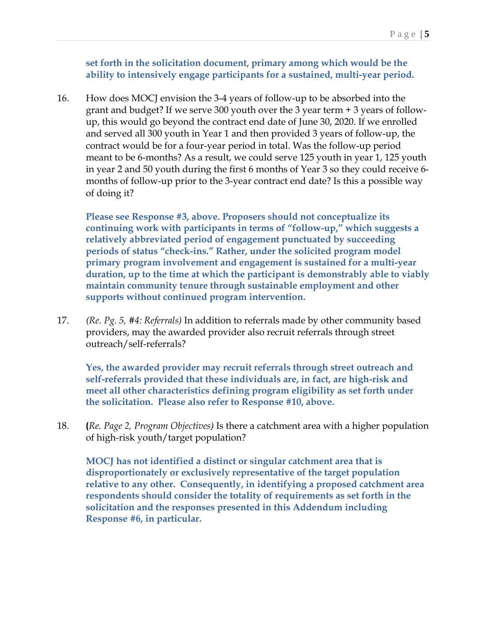**set forth in the solicitation document, primary among which would be the ability to intensively engage participants for a sustained, multi-year period.**

16. How does MOCJ envision the 3-4 years of follow-up to be absorbed into the grant and budget? If we serve 300 youth over the 3 year term + 3 years of followup, this would go beyond the contract end date of June 30, 2020. If we enrolled and served all 300 youth in Year 1 and then provided 3 years of follow-up, the contract would be for a four-year period in total. Was the follow-up period meant to be 6-months? As a result, we could serve 125 youth in year 1, 125 youth in year 2 and 50 youth during the first 6 months of Year 3 so they could receive 6 months of follow-up prior to the 3-year contract end date? Is this a possible way of doing it?

**Please see Response #3, above. Proposers should not conceptualize its continuing work with participants in terms of "follow-up," which suggests a relatively abbreviated period of engagement punctuated by succeeding periods of status "check-ins." Rather, under the solicited program model primary program involvement and engagement is sustained for a multi-year duration, up to the time at which the participant is demonstrably able to viably maintain community tenure through sustainable employment and other supports without continued program intervention.**

17. *(Re. Pg. 5, #4: Referrals)* In addition to referrals made by other community based providers, may the awarded provider also recruit referrals through street outreach/self-referrals?

**Yes, the awarded provider may recruit referrals through street outreach and self-referrals provided that these individuals are, in fact, are high-risk and meet all other characteristics defining program eligibility as set forth under the solicitation. Please also refer to Response #10, above.**

18. **(***Re. Page 2, Program Objectives)* Is there a catchment area with a higher population of high-risk youth/target population?

**MOCJ has not identified a distinct or singular catchment area that is disproportionately or exclusively representative of the target population relative to any other. Consequently, in identifying a proposed catchment area respondents should consider the totality of requirements as set forth in the solicitation and the responses presented in this Addendum including Response #6, in particular.**